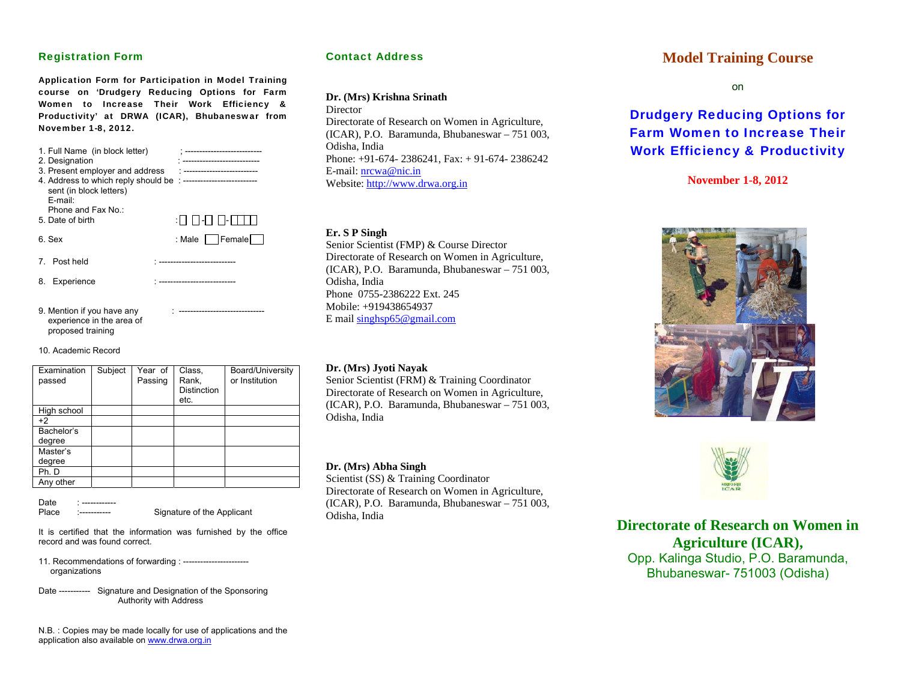### Registration Form

Application Form for Participation in Model Training course on 'Drudgery Reducing Options for Farm Women to Increase Their Work Efficiency & Productivity' at DRWA (ICAR), Bhubaneswar from November 1-8, 2012.

| 1. Full Name (in block letter)<br>2. Designation<br>3. Present employer and address<br>sent (in block letters)<br>$F$ -mail: | --------------              |
|------------------------------------------------------------------------------------------------------------------------------|-----------------------------|
| Phone and Fax No.:<br>5. Date of birth                                                                                       |                             |
| 6. Sex                                                                                                                       | : Male $\Box$ Female $\Box$ |
| 7. Post held                                                                                                                 |                             |
| 8.<br>Experience                                                                                                             |                             |

9. Mention if you have any experience in the area of proposed training

10. Academic Record

| Examination<br>passed | Subject | Year of<br>Passing | Class,<br>Rank,<br>Distinction<br>etc. | Board/University<br>or Institution |
|-----------------------|---------|--------------------|----------------------------------------|------------------------------------|
| High school           |         |                    |                                        |                                    |
| $+2$                  |         |                    |                                        |                                    |
| Bachelor's<br>degree  |         |                    |                                        |                                    |
| Master's              |         |                    |                                        |                                    |
| degree                |         |                    |                                        |                                    |
| Ph. D                 |         |                    |                                        |                                    |
| Any other             |         |                    |                                        |                                    |

Date Place :----------- Signature of the Applicant

It is certified that the information was furnished by the office record and was found correct.

11. Recommendations of forwarding : ---------------------- organizations

Date ----------- Signature and Designation of the Sponsoring Authority with Address

N.B. : Copies may be made locally for use of applications and the application also available on www.drwa.org.in

### Contact Address

#### **Dr. (Mrs) Krishna Srinath**

**Director** Directorate of Research on Women in Agriculture, (ICAR), P.O. Baramunda, Bhubaneswar – 751 003, Odisha, India Phone: +91-674- 2386241, Fax: + 91-674- 2386242 E-mail: nrcwa@nic.inWebsite: http://www.drwa.org.in

#### **Er. S P Singh**

Senior Scientist (FMP) & Course Director Directorate of Research on Women in Agriculture, (ICAR), P.O. Baramunda, Bhubaneswar – 751 003, Odisha, India Phone 0755-2386222 Ext. 245 Mobile: +919438654937 E mail singhsp65@gmail.com

#### **Dr. (Mrs) Jyoti Nayak**

Senior Scientist (FRM) & Training Coordinator Directorate of Research on Women in Agriculture, (ICAR), P.O. Baramunda, Bhubaneswar – 751 003, Odisha, India

#### **Dr. (Mrs) Abha Singh**

Scientist (SS) & Training Coordinator Directorate of Research on Women in Agriculture, (ICAR), P.O. Baramunda, Bhubaneswar – 751 003, Odisha, India

## **Model Training Course**

on

# Drudgery Reducing Options for Farm Women to Increase Their Work Efficiency & Productivity

**November 1-8, 2012** 





**Directorate of Research on Women in Agriculture (ICAR),**  Opp. Kalinga Studio, P.O. Baramunda, Bhubaneswar- 751003 (Odisha)